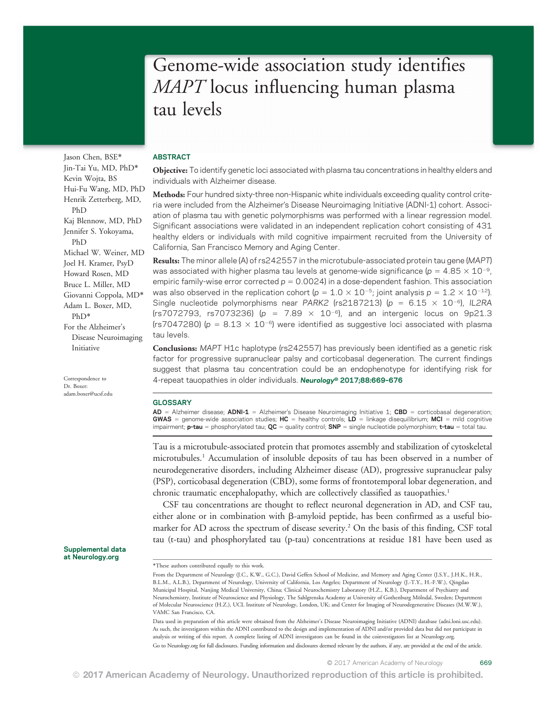# Genome-wide association study identifies MAPT locus influencing human plasma tau levels

# ABSTRACT

Objective: To identify genetic loci associated with plasma tau concentrations in healthy elders and individuals with Alzheimer disease.

Methods: Four hundred sixty-three non-Hispanic white individuals exceeding quality control criteria were included from the Alzheimer's Disease Neuroimaging Initiative (ADNI-1) cohort. Association of plasma tau with genetic polymorphisms was performed with a linear regression model. Significant associations were validated in an independent replication cohort consisting of 431 healthy elders or individuals with mild cognitive impairment recruited from the University of California, San Francisco Memory and Aging Center.

Results: The minor allele (A) of rs242557 in the microtubule-associated protein tau gene (MAPT) was associated with higher plasma tau levels at genome-wide significance ( $p = 4.85 \times 10^{-9}$ , empiric family-wise error corrected  $p = 0.0024$ ) in a dose-dependent fashion. This association was also observed in the replication cohort (p =  $1.0 \times 10^{-5}$ ; joint analysis p =  $1.2 \times 10^{-12}$ ). Single nucleotide polymorphisms near PARK2 (rs2187213) (p =  $6.15 \times 10^{-6}$ ), IL2RA (rs7072793, rs7073236) ( $p = 7.89 \times 10^{-6}$ ), and an intergenic locus on 9p21.3 (rs7047280) ( $p = 8.13 \times 10^{-6}$ ) were identified as suggestive loci associated with plasma tau levels.

Conclusions: MAPT H1c haplotype (rs242557) has previously been identified as a genetic risk factor for progressive supranuclear palsy and corticobasal degeneration. The current findings suggest that plasma tau concentration could be an endophenotype for identifying risk for 4-repeat tauopathies in older individuals. Neurology® 2017;88:669-676

## **GLOSSARY**

 $AD =$  Alzheimer disease; ADNI-1 = Alzheimer's Disease Neuroimaging Initiative 1; CBD = corticobasal degeneration; **GWAS** = genome-wide association studies;  $HC =$  healthy controls;  $LD =$  linkage disequilibrium; MCI = mild cognitive impairment; **p-tau** = phosphorylated tau;  $QC$  = quality control; SNP = single nucleotide polymorphism; t-tau = total tau.

Tau is a microtubule-associated protein that promotes assembly and stabilization of cytoskeletal microtubules.1 Accumulation of insoluble deposits of tau has been observed in a number of neurodegenerative disorders, including Alzheimer disease (AD), progressive supranuclear palsy (PSP), corticobasal degeneration (CBD), some forms of frontotemporal lobar degeneration, and chronic traumatic encephalopathy, which are collectively classified as tauopathies.<sup>1</sup>

CSF tau concentrations are thought to reflect neuronal degeneration in AD, and CSF tau, either alone or in combination with  $\beta$ -amyloid peptide, has been confirmed as a useful biomarker for AD across the spectrum of disease severity.<sup>2</sup> On the basis of this finding, CSF total tau (t-tau) and phosphorylated tau (p-tau) concentrations at residue 181 have been used as

Data used in preparation of this article were obtained from the Alzheimer's Disease Neuroimaging Initiative (ADNI) database [\(adni.loni.usc.edu\)](http://adni.loni.usc.edu). As such, the investigators within the ADNI contributed to the design and implementation of ADNI and/or provided data but did not participate in analysis or writing of this report. A complete listing of ADNI investigators can be found in the coinvestigators list at [Neurology.org.](http://neurology.org/lookup/doi/10.1212/WNL.0000000000003615)

Go to [Neurology.org](http://neurology.org/lookup/doi/10.1212/WNL.0000000000003615) for full disclosures. Funding information and disclosures deemed relevant by the authors, if any, are provided at the end of the article.

Jason Chen, BSE\* Jin-Tai Yu, MD, PhD\* Kevin Wojta, BS Hui-Fu Wang, MD, PhD Henrik Zetterberg, MD, PhD Kaj Blennow, MD, PhD Jennifer S. Yokoyama, PhD Michael W. Weiner, MD Joel H. Kramer, PsyD Howard Rosen, MD Bruce L. Miller, MD Giovanni Coppola, MD\* Adam L. Boxer, MD,

For the Alzheimer's Disease Neuroimaging Initiative

Correspondence to Dr. Boxer: [adam.boxer@ucsf.edu](mailto:adam.boxer@ucsf.edu)

PhD\*

Supplemental data at [Neurology.org](http://neurology.org/lookup/doi/10.1212/WNL.0000000000003615)

<sup>\*</sup>These authors contributed equally to this work.

From the Department of Neurology (J.C., K.W., G.C.), David Geffen School of Medicine, and Memory and Aging Center (J.S.Y., J.H.K., H.R., B.L.M., A.L.B.), Department of Neurology, University of California, Los Angeles; Department of Neurology (J.-T.Y., H.-F.W.), Qingdao Municipal Hospital, Nanjing Medical University, China; Clinical Neurochemistry Laboratory (H.Z., K.B.), Department of Psychiatry and Neurochemistry, Institute of Neuroscience and Physiology, The Sahlgrenska Academy at University of Gothenburg Mölndal, Sweden; Department of Molecular Neuroscience (H.Z.), UCL Institute of Neurology, London, UK; and Center for Imaging of Neurodegenerative Diseases (M.W.W.), VAMC San Francisco, CA.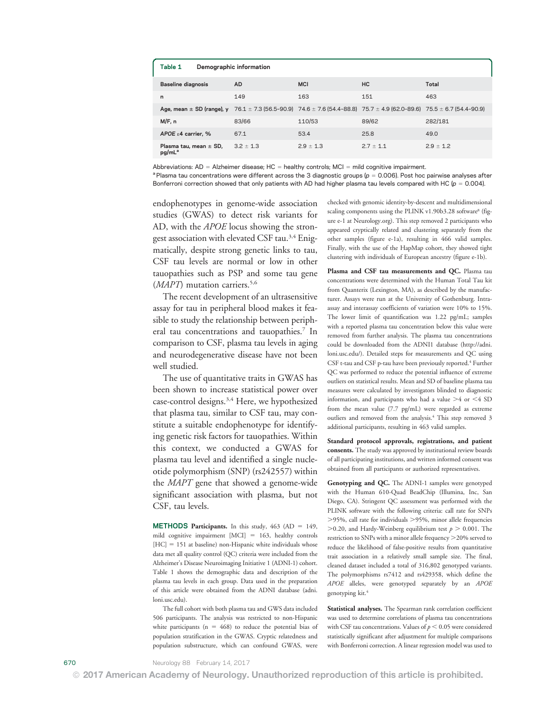| Table 1                                                                                                               | Demographic information |               |               |               |  |  |  |  |
|-----------------------------------------------------------------------------------------------------------------------|-------------------------|---------------|---------------|---------------|--|--|--|--|
| <b>Baseline diagnosis</b>                                                                                             | <b>AD</b>               | <b>MCI</b>    | HC.           | Total         |  |  |  |  |
| n                                                                                                                     | 149                     | 163           | 151           | 463           |  |  |  |  |
| Age, mean ± SD (range), y 76.1 ± 7.3 (56.5-90.9) 74.6 ± 7.6 (54.4-88.8) 75.7 ± 4.9 (62.0-89.6) 75.5 ± 6.7 (54.4-90.9) |                         |               |               |               |  |  |  |  |
| M/F, n                                                                                                                | 83/66                   | 110/53        | 89/62         | 282/181       |  |  |  |  |
| APOE $\epsilon$ 4 carrier. %                                                                                          | 67.1                    | 53.4          | 25.8          | 49.0          |  |  |  |  |
| Plasma tau, mean $\pm$ SD,<br>pg/mL <sup>a</sup>                                                                      | $3.2 \pm 1.3$           | $2.9 \pm 1.3$ | $2.7 \pm 1.1$ | $2.9 \pm 1.2$ |  |  |  |  |

Abbreviations:  $AD =$  Alzheimer disease; HC = healthy controls; MCI = mild cognitive impairment.

 $a$ Plasma tau concentrations were different across the 3 diagnostic groups ( $p = 0.006$ ). Post hoc pairwise analyses after Bonferroni correction showed that only patients with AD had higher plasma tau levels compared with HC ( $p = 0.004$ ).

endophenotypes in genome-wide association studies (GWAS) to detect risk variants for AD, with the *APOE* locus showing the strongest association with elevated CSF tau.<sup>3,4</sup> Enigmatically, despite strong genetic links to tau, CSF tau levels are normal or low in other tauopathies such as PSP and some tau gene  $(MAPT)$  mutation carriers.<sup>5,6</sup>

The recent development of an ultrasensitive assay for tau in peripheral blood makes it feasible to study the relationship between peripheral tau concentrations and tauopathies.<sup>7</sup> In comparison to CSF, plasma tau levels in aging and neurodegenerative disease have not been well studied.

The use of quantitative traits in GWAS has been shown to increase statistical power over case-control designs.<sup>3,4</sup> Here, we hypothesized that plasma tau, similar to CSF tau, may constitute a suitable endophenotype for identifying genetic risk factors for tauopathies. Within this context, we conducted a GWAS for plasma tau level and identified a single nucleotide polymorphism (SNP) (rs242557) within the MAPT gene that showed a genome-wide significant association with plasma, but not CSF, tau levels.

**METHODS Participants.** In this study,  $463$  (AD = 149, mild cognitive impairment  $[MCI] = 163$ , healthy controls  $[HC] = 151$  at baseline) non-Hispanic white individuals whose data met all quality control (QC) criteria were included from the Alzheimer's Disease Neuroimaging Initiative 1 (ADNI-1) cohort. Table 1 shows the demographic data and description of the plasma tau levels in each group. Data used in the preparation of this article were obtained from the ADNI database [\(adni.](http://adni.loni.usc.edu) [loni.usc.edu\)](http://adni.loni.usc.edu).

The full cohort with both plasma tau and GWS data included 506 participants. The analysis was restricted to non-Hispanic white participants ( $n = 468$ ) to reduce the potential bias of population stratification in the GWAS. Cryptic relatedness and population substructure, which can confound GWAS, were

checked with genomic identity-by-descent and multidimensional scaling components using the PLINK v1.90b3.28 software<sup>8</sup> (figure e-1 at [Neurology.org\)](http://neurology.org/lookup/doi/10.1212/WNL.0000000000003615). This step removed 2 participants who appeared cryptically related and clustering separately from the other samples (figure e-1a), resulting in 466 valid samples. Finally, with the use of the HapMap cohort, they showed tight clustering with individuals of European ancestry (figure e-1b).

Plasma and CSF tau measurements and OC. Plasma tau concentrations were determined with the Human Total Tau kit from Quanterix (Lexington, MA), as described by the manufacturer. Assays were run at the University of Gothenburg. Intraassay and interassay coefficients of variation were 10% to 15%. The lower limit of quantification was 1.22 pg/mL; samples with a reported plasma tau concentration below this value were removed from further analysis. The plasma tau concentrations could be downloaded from the ADNI1 database ([http://adni.](http://adni.loni.usc.edu/) [loni.usc.edu/\)](http://adni.loni.usc.edu/). Detailed steps for measurements and QC using CSF t-tau and CSF p-tau have been previously reported.<sup>4</sup> Further QC was performed to reduce the potential influence of extreme outliers on statistical results. Mean and SD of baseline plasma tau measures were calculated by investigators blinded to diagnostic information, and participants who had a value  $>4$  or  $<4$  SD from the mean value (7.7 pg/mL) were regarded as extreme outliers and removed from the analysis.<sup>4</sup> This step removed 3 additional participants, resulting in 463 valid samples.

Standard protocol approvals, registrations, and patient consents. The study was approved by institutional review boards of all participating institutions, and written informed consent was obtained from all participants or authorized representatives.

Genotyping and QC. The ADNI-1 samples were genotyped with the Human 610-Quad BeadChip (Illumina, Inc, San Diego, CA). Stringent QC assessment was performed with the PLINK software with the following criteria: call rate for SNPs  $>$ 95%, call rate for individuals  $>$ 95%, minor allele frequencies  $>$  0.20, and Hardy-Weinberg equilibrium test  $p > 0.001$ . The restriction to SNPs with a minor allele frequency >20% served to reduce the likelihood of false-positive results from quantitative trait association in a relatively small sample size. The final, cleaned dataset included a total of 316,802 genotyped variants. The polymorphisms rs7412 and rs429358, which define the APOE alleles, were genotyped separately by an APOE genotyping kit.4

Statistical analyses. The Spearman rank correlation coefficient was used to determine correlations of plasma tau concentrations with CSF tau concentrations. Values of  $p < 0.05$  were considered statistically significant after adjustment for multiple comparisons with Bonferroni correction. A linear regression model was used to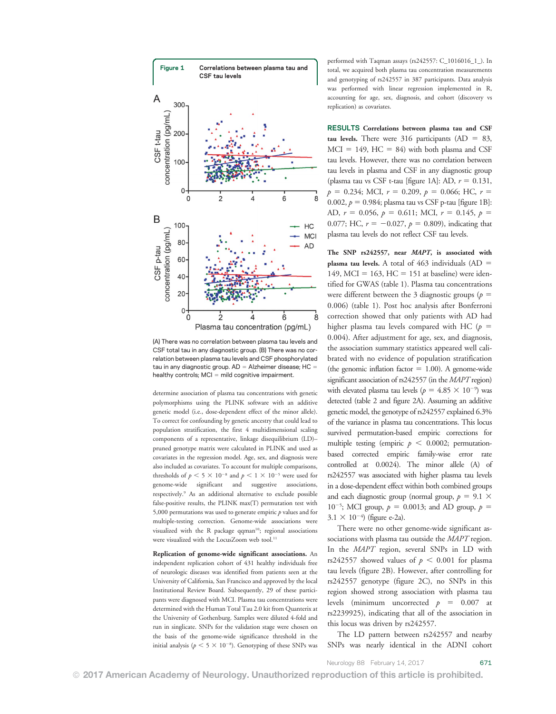

(A) There was no correlation between plasma tau levels and CSF total tau in any diagnostic group. (B) There was no correlation between plasma tau levels and CSF phosphorylated tau in any diagnostic group.  $AD =$  Alzheimer disease;  $HC =$ healthy controls;  $MCI = mild$  cognitive impairment.

determine association of plasma tau concentrations with genetic polymorphisms using the PLINK software with an additive genetic model (i.e., dose-dependent effect of the minor allele). To correct for confounding by genetic ancestry that could lead to population stratification, the first 4 multidimensional scaling components of a representative, linkage disequilibrium (LD)– pruned genotype matrix were calculated in PLINK and used as covariates in the regression model. Age, sex, and diagnosis were also included as covariates. To account for multiple comparisons, thresholds of  $p < 5 \times 10^{-8}$  and  $p < 1 \times 10^{-5}$  were used for genome-wide significant and suggestive associations, respectively.9 As an additional alternative to exclude possible false-positive results, the PLINK max(T) permutation test with 5,000 permutations was used to generate empiric  $p$  values and for multiple-testing correction. Genome-wide associations were visualized with the R package  $qqman<sup>10</sup>$ ; regional associations were visualized with the LocusZoom web tool.<sup>11</sup>

Replication of genome-wide significant associations. An independent replication cohort of 431 healthy individuals free of neurologic diseases was identified from patients seen at the University of California, San Francisco and approved by the local Institutional Review Board. Subsequently, 29 of these participants were diagnosed with MCI. Plasma tau concentrations were determined with the Human Total Tau 2.0 kit from Quanterix at the University of Gothenburg. Samples were diluted 4-fold and run in singlicate. SNPs for the validation stage were chosen on the basis of the genome-wide significance threshold in the initial analysis ( $p < 5 \times 10^{-8}$ ). Genotyping of these SNPs was

performed with Taqman assays (rs242557: C\_1016016\_1\_). In total, we acquired both plasma tau concentration measurements and genotyping of rs242557 in 387 participants. Data analysis was performed with linear regression implemented in R, accounting for age, sex, diagnosis, and cohort (discovery vs replication) as covariates.

RESULTS Correlations between plasma tau and CSF tau levels. There were 316 participants (AD =  $83$ ,  $MCI = 149$ ,  $HC = 84$ ) with both plasma and CSF tau levels. However, there was no correlation between tau levels in plasma and CSF in any diagnostic group (plasma tau vs CSF t-tau [figure 1A]: AD,  $r = 0.131$ ,  $p = 0.234$ ; MCI,  $r = 0.209$ ,  $p = 0.066$ ; HC,  $r =$ 0.002,  $p = 0.984$ ; plasma tau vs CSF p-tau [figure 1B]: AD,  $r = 0.056$ ,  $p = 0.611$ ; MCI,  $r = 0.145$ ,  $p =$ 0.077; HC,  $r = -0.027$ ,  $p = 0.809$ ), indicating that plasma tau levels do not reflect CSF tau levels.

The SNP rs242557, near MAPT, is associated with plasma tau levels. A total of  $463$  individuals (AD = 149, MCI = 163, HC = 151 at baseline) were identified for GWAS (table 1). Plasma tau concentrations were different between the 3 diagnostic groups ( $p =$ 0.006) (table 1). Post hoc analysis after Bonferroni correction showed that only patients with AD had higher plasma tau levels compared with HC ( $p =$ 0.004). After adjustment for age, sex, and diagnosis, the association summary statistics appeared well calibrated with no evidence of population stratification (the genomic inflation factor  $= 1.00$ ). A genome-wide significant association of rs242557 (in the MAPT region) with elevated plasma tau levels ( $p = 4.85 \times 10^{-9}$ ) was detected (table 2 and figure 2A). Assuming an additive genetic model, the genotype of rs242557 explained 6.3% of the variance in plasma tau concentrations. This locus survived permutation-based empiric corrections for multiple testing (empiric  $p < 0.0002$ ; permutationbased corrected empiric family-wise error rate controlled at 0.0024). The minor allele (A) of rs242557 was associated with higher plasma tau levels in a dose-dependent effect within both combined groups and each diagnostic group (normal group,  $p = 9.1 \times$ 10<sup>-5</sup>; MCI group,  $p = 0.0013$ ; and AD group,  $p =$  $3.1 \times 10^{-4}$  (figure e-2a).

There were no other genome-wide significant associations with plasma tau outside the MAPT region. In the MAPT region, several SNPs in LD with rs242557 showed values of  $p < 0.001$  for plasma tau levels (figure 2B). However, after controlling for rs242557 genotype (figure 2C), no SNPs in this region showed strong association with plasma tau levels (minimum uncorrected  $p = 0.007$  at rs2239925), indicating that all of the association in this locus was driven by rs242557.

The LD pattern between rs242557 and nearby SNPs was nearly identical in the ADNI cohort

Neurology 88 February 14, 2017 671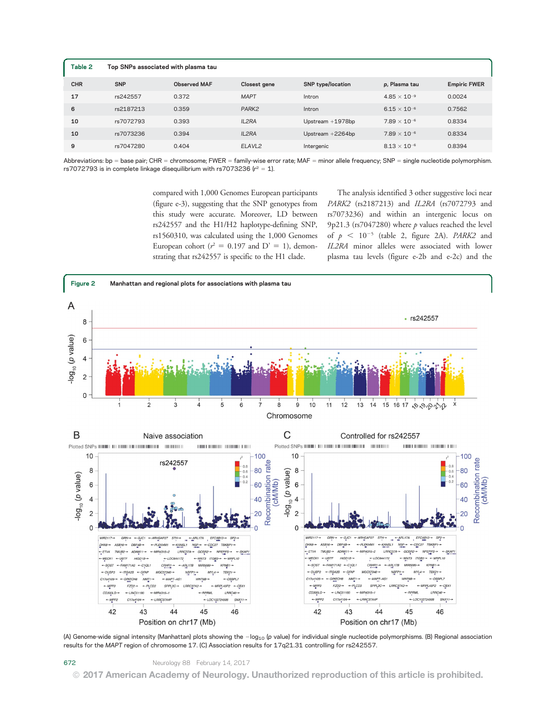| Table 2    | Top SNPs associated with plasma tau |                     |                    |                          |                       |                     |  |  |
|------------|-------------------------------------|---------------------|--------------------|--------------------------|-----------------------|---------------------|--|--|
| <b>CHR</b> | <b>SNP</b>                          | <b>Observed MAF</b> | Closest gene       | <b>SNP</b> type/location | p, Plasma tau         | <b>Empiric FWER</b> |  |  |
| 17         | rs242557                            | 0.372               | <b>MAPT</b>        | Intron                   | $4.85 \times 10^{-9}$ | 0.0024              |  |  |
| 6          | rs2187213                           | 0.359               | PARK <sub>2</sub>  | Intron                   | $6.15 \times 10^{-6}$ | 0.7562              |  |  |
| 10         | rs7072793                           | 0.393               | IL2RA              | Upstream $+1978$ bp      | $7.89 \times 10^{-6}$ | 0.8334              |  |  |
| 10         | rs7073236                           | 0.394               | IL2RA              | Upstream $+2264bp$       | $7.89 \times 10^{-6}$ | 0.8334              |  |  |
| 9          | rs7047280                           | 0.404               | ELAVL <sub>2</sub> | Intergenic               | $8.13\times10^{-6}$   | 0.8394              |  |  |

Abbreviations: bp = base pair; CHR = chromosome; FWER = family-wise error rate; MAF = minor allele frequency; SNP = single nucleotide polymorphism. rs7072793 is in complete linkage disequilibrium with rs7073236 ( $r^2 = 1$ ).

> compared with 1,000 Genomes European participants (figure e-3), suggesting that the SNP genotypes from this study were accurate. Moreover, LD between rs242557 and the H1/H2 haplotype-defining SNP, rs1560310, was calculated using the 1,000 Genomes European cohort ( $r^2 = 0.197$  and D' = 1), demonstrating that rs242557 is specific to the H1 clade.

The analysis identified 3 other suggestive loci near PARK2 (rs2187213) and IL2RA (rs7072793 and rs7073236) and within an intergenic locus on 9p21.3 (rs7047280) where  $p$  values reached the level of  $p < 10^{-5}$  (table 2, figure 2A). PARK2 and IL2RA minor alleles were associated with lower plasma tau levels (figure e-2b and e-2c) and the



(A) Genome-wide signal intensity (Manhattan) plots showing the  $-$ log<sub>10</sub> (p value) for individual single nucleotide polymorphisms. (B) Regional association results for the MAPT region of chromosome 17. (C) Association results for 17q21.31 controlling for rs242557.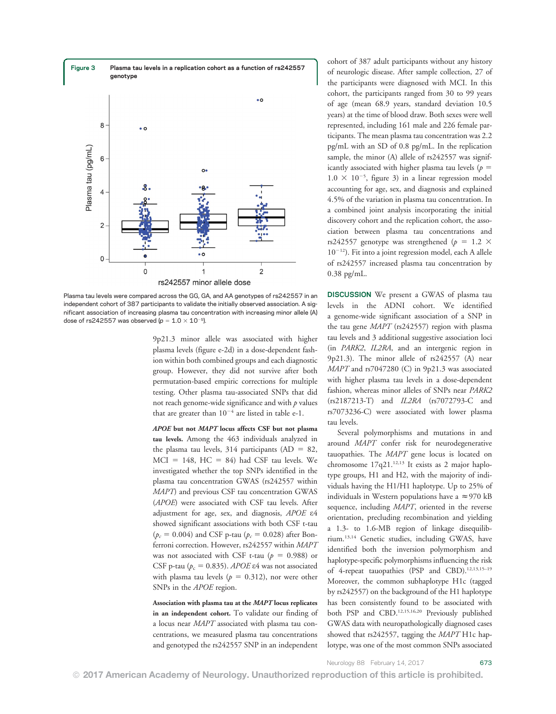

Plasma tau levels were compared across the GG, GA, and AA genotypes of rs242557 in an independent cohort of 387 participants to validate the initially observed association. A significant association of increasing plasma tau concentration with increasing minor allele (A) dose of rs242557 was observed ( $p = 1.0 \times 10^{-5}$ ).

9p21.3 minor allele was associated with higher plasma levels (figure e-2d) in a dose-dependent fashion within both combined groups and each diagnostic group. However, they did not survive after both permutation-based empiric corrections for multiple testing. Other plasma tau-associated SNPs that did not reach genome-wide significance and with  $p$  values that are greater than  $10^{-4}$  are listed in table e-1.

APOE but not MAPT locus affects CSF but not plasma tau levels. Among the 463 individuals analyzed in the plasma tau levels, 314 participants (AD = 82,  $MCI = 148$ ,  $HC = 84$ ) had CSF tau levels. We investigated whether the top SNPs identified in the plasma tau concentration GWAS (rs242557 within MAPT) and previous CSF tau concentration GWAS (APOE) were associated with CSF tau levels. After adjustment for age, sex, and diagnosis, APOE  $\varepsilon$ 4 showed significant associations with both CSF t-tau  $(p_c = 0.004)$  and CSF p-tau  $(p_c = 0.028)$  after Bonferroni correction. However, rs242557 within MAPT was not associated with CSF t-tau ( $p = 0.988$ ) or CSF p-tau ( $p_c = 0.835$ ). APOE  $\varepsilon$ 4 was not associated with plasma tau levels ( $p = 0.312$ ), nor were other SNPs in the *APOE* region.

Association with plasma tau at the MAPT locus replicates in an independent cohort. To validate our finding of a locus near MAPT associated with plasma tau concentrations, we measured plasma tau concentrations and genotyped the rs242557 SNP in an independent cohort of 387 adult participants without any history of neurologic disease. After sample collection, 27 of the participants were diagnosed with MCI. In this cohort, the participants ranged from 30 to 99 years of age (mean 68.9 years, standard deviation 10.5 years) at the time of blood draw. Both sexes were well represented, including 161 male and 226 female participants. The mean plasma tau concentration was 2.2 pg/mL with an SD of 0.8 pg/mL. In the replication sample, the minor (A) allele of rs242557 was significantly associated with higher plasma tau levels ( $p =$  $1.0 \times 10^{-5}$ , figure 3) in a linear regression model accounting for age, sex, and diagnosis and explained 4.5% of the variation in plasma tau concentration. In a combined joint analysis incorporating the initial discovery cohort and the replication cohort, the association between plasma tau concentrations and rs242557 genotype was strengthened ( $p = 1.2 \times$  $10^{-12}$ ). Fit into a joint regression model, each A allele of rs242557 increased plasma tau concentration by 0.38 pg/mL.

DISCUSSION We present a GWAS of plasma tau levels in the ADNI cohort. We identified a genome-wide significant association of a SNP in the tau gene MAPT (rs242557) region with plasma tau levels and 3 additional suggestive association loci (in PARK2, IL2RA, and an intergenic region in 9p21.3). The minor allele of rs242557 (A) near MAPT and rs7047280 (C) in 9p21.3 was associated with higher plasma tau levels in a dose-dependent fashion, whereas minor alleles of SNPs near PARK2 (rs2187213-T) and IL2RA (rs7072793-C and rs7073236-C) were associated with lower plasma tau levels.

Several polymorphisms and mutations in and around MAPT confer risk for neurodegenerative tauopathies. The MAPT gene locus is located on chromosome  $17q21$ .<sup>12,13</sup> It exists as 2 major haplotype groups, H1 and H2, with the majority of individuals having the H1/H1 haplotype. Up to 25% of individuals in Western populations have a  $\approx$  970 kB sequence, including MAPT, oriented in the reverse orientation, precluding recombination and yielding a 1.3- to 1.6-MB region of linkage disequilibrium.13,14 Genetic studies, including GWAS, have identified both the inversion polymorphism and haplotype-specific polymorphisms influencing the risk of 4-repeat tauopathies (PSP and CBD).<sup>12,13,15-19</sup> Moreover, the common subhaplotype H1c (tagged by rs242557) on the background of the H1 haplotype has been consistently found to be associated with both PSP and CBD.<sup>12,15,16,20</sup> Previously published GWAS data with neuropathologically diagnosed cases showed that rs242557, tagging the MAPT H1c haplotype, was one of the most common SNPs associated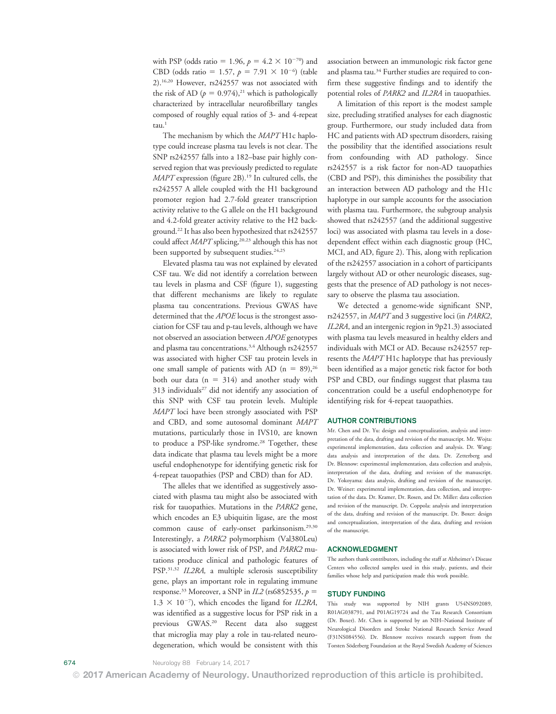with PSP (odds ratio = 1.96,  $p = 4.2 \times 10^{-70}$ ) and CBD (odds ratio = 1.57,  $p = 7.91 \times 10^{-6}$ ) (table 2).16,20 However, rs242557 was not associated with the risk of AD ( $p = 0.974$ ),<sup>21</sup> which is pathologically characterized by intracellular neurofibrillary tangles composed of roughly equal ratios of 3- and 4-repeat tau.<sup>1</sup>

The mechanism by which the MAPT H1c haplotype could increase plasma tau levels is not clear. The SNP rs242557 falls into a 182–base pair highly conserved region that was previously predicted to regulate MAPT expression (figure 2B).<sup>19</sup> In cultured cells, the rs242557 A allele coupled with the H1 background promoter region had 2.7-fold greater transcription activity relative to the G allele on the H1 background and 4.2-fold greater activity relative to the H2 background.22 It has also been hypothesized that rs242557 could affect MAPT splicing,<sup>20,23</sup> although this has not been supported by subsequent studies.<sup>24,25</sup>

Elevated plasma tau was not explained by elevated CSF tau. We did not identify a correlation between tau levels in plasma and CSF (figure 1), suggesting that different mechanisms are likely to regulate plasma tau concentrations. Previous GWAS have determined that the APOE locus is the strongest association for CSF tau and p-tau levels, although we have not observed an association between APOE genotypes and plasma tau concentrations.<sup>3,4</sup> Although rs242557 was associated with higher CSF tau protein levels in one small sample of patients with AD ( $n = 89$ ),<sup>26</sup> both our data ( $n = 314$ ) and another study with 313 individuals<sup>27</sup> did not identify any association of this SNP with CSF tau protein levels. Multiple MAPT loci have been strongly associated with PSP and CBD, and some autosomal dominant MAPT mutations, particularly those in IVS10, are known to produce a PSP-like syndrome.<sup>28</sup> Together, these data indicate that plasma tau levels might be a more useful endophenotype for identifying genetic risk for 4-repeat tauopathies (PSP and CBD) than for AD.

The alleles that we identified as suggestively associated with plasma tau might also be associated with risk for tauopathies. Mutations in the PARK2 gene, which encodes an E3 ubiquitin ligase, are the most common cause of early-onset parkinsonism.<sup>29,30</sup> Interestingly, a PARK2 polymorphism (Val380Leu) is associated with lower risk of PSP, and PARK2 mutations produce clinical and pathologic features of PSP.<sup>31,32</sup> IL2RA, a multiple sclerosis susceptibility gene, plays an important role in regulating immune response.<sup>33</sup> Moreover, a SNP in *IL2* (rs6852535,  $p =$  $1.3 \times 10^{-7}$ ), which encodes the ligand for IL2RA, was identified as a suggestive locus for PSP risk in a previous GWAS.20 Recent data also suggest that microglia may play a role in tau-related neurodegeneration, which would be consistent with this association between an immunologic risk factor gene and plasma tau.<sup>34</sup> Further studies are required to confirm these suggestive findings and to identify the potential roles of PARK2 and IL2RA in tauopathies.

A limitation of this report is the modest sample size, precluding stratified analyses for each diagnostic group. Furthermore, our study included data from HC and patients with AD spectrum disorders, raising the possibility that the identified associations result from confounding with AD pathology. Since rs242557 is a risk factor for non-AD tauopathies (CBD and PSP), this diminishes the possibility that an interaction between AD pathology and the H1c haplotype in our sample accounts for the association with plasma tau. Furthermore, the subgroup analysis showed that rs242557 (and the additional suggestive loci) was associated with plasma tau levels in a dosedependent effect within each diagnostic group (HC, MCI, and AD, figure 2). This, along with replication of the rs242557 association in a cohort of participants largely without AD or other neurologic diseases, suggests that the presence of AD pathology is not necessary to observe the plasma tau association.

We detected a genome-wide significant SNP, rs242557, in MAPT and 3 suggestive loci (in PARK2, IL2RA, and an intergenic region in 9p21.3) associated with plasma tau levels measured in healthy elders and individuals with MCI or AD. Because rs242557 represents the MAPT H1c haplotype that has previously been identified as a major genetic risk factor for both PSP and CBD, our findings suggest that plasma tau concentration could be a useful endophenotype for identifying risk for 4-repeat tauopathies.

# AUTHOR CONTRIBUTIONS

Mr. Chen and Dr. Yu: design and conceptualization, analysis and interpretation of the data, drafting and revision of the manuscript. Mr. Wojta: experimental implementation, data collection and analysis. Dr. Wang: data analysis and interpretation of the data. Dr. Zetterberg and Dr. Blennow: experimental implementation, data collection and analysis, interpretation of the data, drafting and revision of the manuscript. Dr. Yokoyama: data analysis, drafting and revision of the manuscript. Dr. Weiner: experimental implementation, data collection, and interpretation of the data. Dr. Kramer, Dr. Rosen, and Dr. Miller: data collection and revision of the manuscript. Dr. Coppola: analysis and interpretation of the data, drafting and revision of the manuscript. Dr. Boxer: design and conceptualization, interpretation of the data, drafting and revision of the manuscript.

## ACKNOWLEDGMENT

The authors thank contributors, including the staff at Alzheimer's Disease Centers who collected samples used in this study, patients, and their families whose help and participation made this work possible.

#### STUDY FUNDING

This study was supported by NIH grants U54NS092089, R01AG038791, and P01AG19724 and the Tau Research Consortium (Dr. Boxer). Mr. Chen is supported by an NIH–National Institute of Neurological Disorders and Stroke National Research Service Award (F31NS084556). Dr. Blennow receives research support from the Torsten Söderberg Foundation at the Royal Swedish Academy of Sciences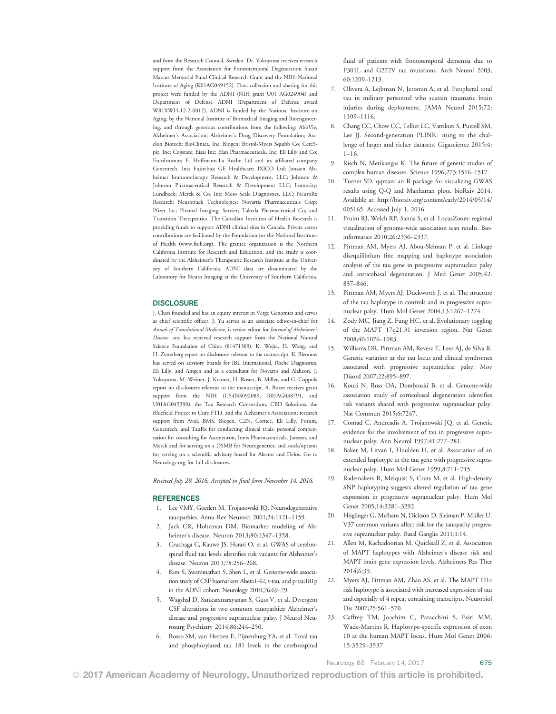and from the Research Council, Sweden. Dr. Yokoyama receives research support from the Association for Frontotemporal Degeneration Susan Marcus Memorial Fund Clinical Research Grant and the NIH–National Institute of Aging (K01AG049152). Data collection and sharing for this project were funded by the ADNI (NIH grant U01 AG024904) and Department of Defense ADNI (Department of Defense award W81XWH-12-2-0012). ADNI is funded by the National Institute on Aging, by the National Institute of Biomedical Imaging and Bioengineering, and through generous contributions from the following: AbbVie, Alzheimer's Association; Alzheimer's Drug Discovery Foundation; Araclon Biotech; BioClinica, Inc; Biogen; Bristol-Myers Squibb Co; CereSpir, Inc; Cogstate; Eisai Inc; Elan Pharmaceuticals, Inc; Eli Lilly and Co; EuroImmun; F. Hoffmann-La Roche Ltd and its affiliated company Genentech, Inc; Fujirebio; GE Healthcare; IXICO Ltd; Janssen Alzheimer Immunotherapy Research & Development, LLC; Johnson & Johnson Pharmaceutical Research & Development LLC; Lumosity; Lundbeck; Merck & Co, Inc; Meso Scale Diagnostics, LLC; NeuroRx Research; Neurotrack Technologies; Novartis Pharmaceuticals Corp; Pfizer Inc; Piramal Imaging; Servier; Takeda Pharmaceutical Co; and Transition Therapeutics. The Canadian Institutes of Health Research is providing funds to support ADNI clinical sites in Canada. Private sector contributions are facilitated by the Foundation for the National Institutes of Health ([www.fnih.org](http://www.fnih.org)). The grantee organization is the Northern California Institute for Research and Education, and the study is coordinated by the Alzheimer's Therapeutic Research Institute at the University of Southern California. ADNI data are disseminated by the Laboratory for Neuro Imaging at the University of Southern California.

## **DISCLOSURE**

J. Chen founded and has an equity interest in Verge Genomics and serves as chief scientific officer. J. Yu serves as an associate editor-in-chief for Annals of Translational Medicine, is senior editor for Journal of Alzheimer's Disease, and has received research support from the National Natural Science Foundation of China (81471309). K. Wojta, H. Wang, and H. Zetterberg report no disclosures relevant to the manuscript. K. Blennow has served on advisory boards for IBL International, Roche Diagnostics, Eli Lilly, and Amgen and as a consultant for Novartis and Alzheon. J. Yokoyama, M. Weiner, J. Kramer, H. Rosen, B. Miller, and G. Coppola report no disclosures relevant to the manuscript. A. Boxer receives grant support from the NIH (U54NS092089, R01AG038791, and U01AG045390), the Tau Research Consortium, CBD Solutions, the Bluefield Project to Cure FTD, and the Alzheimer's Association; research support from Avid, BMS, Biogen, C2N, Cortice, Eli Lilly, Forum, Genentech, and TauRx for conducting clinical trials; personal compensation for consulting for Asceneuron, Ionis Pharmaceuticals, Janssen, and Merck and for serving on a DSMB for Neurogenetics; and stock/options for serving on a scientific advisory board for Alector and Delos. Go to [Neurology.org](http://neurology.org/lookup/doi/10.1212/WNL.0000000000003615) for full disclosures.

Received July 29, 2016. Accepted in final form November 14, 2016.

# **REFERENCES**

- 1. Lee VMY, Goedert M, Trojanowski JQ. Neurodegenerative tauopathies. Annu Rev Neurosci 2001;24:1121–1159.
- 2. Jack CR, Holtzman DM. Biomarker modeling of Alzheimer's disease. Neuron 2013;80:1347–1358.
- 3. Cruchaga C, Kauwe JS, Harari O, et al. GWAS of cerebrospinal fluid tau levels identifies risk variants for Alzheimer's disease. Neuron 2013;78:256–268.
- 4. Kim S, Swaminathan S, Shen L, et al. Genome-wide association study of CSF biomarkers Abeta1-42, t-tau, and p-tau181p in the ADNI cohort. Neurology 2010;76:69–79.
- 5. Wagshal D, Sankaranarayanan S, Guss V, et al. Divergent CSF alterations in two common tauopathies: Alzheimer's disease and progressive supranuclear palsy. J Neurol Neurosurg Psychiatry 2014;86:244–250.
- 6. Rosso SM, van Herpen E, Pijnenburg YA, et al. Total tau and phosphorylated tau 181 levels in the cerebrospinal

fluid of patients with frontotemporal dementia due to P301L and G272V tau mutations. Arch Neurol 2003; 60:1209–1213.

- 7. Olivera A, Lejbman N, Jeromin A, et al. Peripheral total tau in military personnel who sustain traumatic brain injuries during deployment. JAMA Neurol 2015;72: 1109–1116.
- 8. Chang CC, Chow CC, Tellier LC, Vattikuti S, Purcell SM, Lee JJ. Second-generation PLINK: rising to the challenge of larger and richer datasets. Gigascience 2015;4: 1–16.
- 9. Risch N, Merikangas K. The future of genetic studies of complex human diseases. Science 1996;273:1516–1517.
- 10. Turner SD. qqman: an R package for visualizing GWAS results using Q-Q and Manhattan plots. bioRxiv 2014. Available at: [http://biorxiv.org/content/early/2014/05/14/](http://biorxiv.org/content/early/2014/05/14/005165) [005165](http://biorxiv.org/content/early/2014/05/14/005165). Accessed July 1, 2016.
- 11. Pruim RJ, Welch RP, Sanna S, et al. LocusZoom: regional visualization of genome-wide association scan results. Bioinformatics 2010;26:2336–2337.
- 12. Pittman AM, Myers AJ, Abou-Sleiman P, et al. Linkage disequilibrium fine mapping and haplotype association analysis of the tau gene in progressive supranuclear palsy and corticobasal degeneration. J Med Genet 2005;42: 837–846.
- 13. Pittman AM, Myers AJ, Duckworth J, et al. The structure of the tau haplotype in controls and in progressive supranuclear palsy. Hum Mol Genet 2004;13:1267–1274.
- 14. Zody MC, Jiang Z, Fung HC, et al. Evolutionary toggling of the MAPT 17q21.31 inversion region. Nat Genet 2008;40:1076–1083.
- 15. Williams DR, Pittman AM, Revesz T, Lees AJ, de Silva R. Genetic variation at the tau locus and clinical syndromes associated with progressive supranuclear palsy. Mov Disord 2007;22:895–897.
- 16. Kouri N, Ross OA, Dombroski B, et al. Genome-wide association study of corticobasal degeneration identifies risk variants shared with progressive supranuclear palsy. Nat Commun 2015;6:7247.
- 17. Conrad C, Andreadis A, Trojanowski JQ, et al. Genetic evidence for the involvement of tau in progressive supranuclear palsy. Ann Neurol 1997;41:277–281.
- 18. Baker M, Litvan I, Houlden H, et al. Association of an extended haplotype in the tau gene with progressive supranuclear palsy. Hum Mol Genet 1999;8:711–715.
- 19. Rademakers R, Melquist S, Cruts M, et al. High-density SNP haplotyping suggests altered regulation of tau gene expression in progressive supranuclear palsy. Hum Mol Genet 2005;14:3281–3292.
- 20. Höglinger G, Melham N, Dickson D, Sleiman P, Müller U. V37 common variants affect risk for the tauopathy progressive supranuclear palsy. Basal Ganglia 2011;1:14.
- 21. Allen M, Kachadoorian M, Quicksall Z, et al. Association of MAPT haplotypes with Alzheimer's disease risk and MAPT brain gene expression levels. Alzheimers Res Ther 2014;6:39.
- 22. Myers AJ, Pittman AM, Zhao AS, et al. The MAPT H1c risk haplotype is associated with increased expression of tau and especially of 4 repeat containing transcripts. Neurobiol Dis 2007;25:561–570.
- 23. Caffrey TM, Joachim C, Paracchini S, Esiri MM, Wade-Martins R. Haplotype-specific expression of exon 10 at the human MAPT locus. Hum Mol Genet 2006; 15:3529–3537.

Neurology 88 February 14, 2017 675